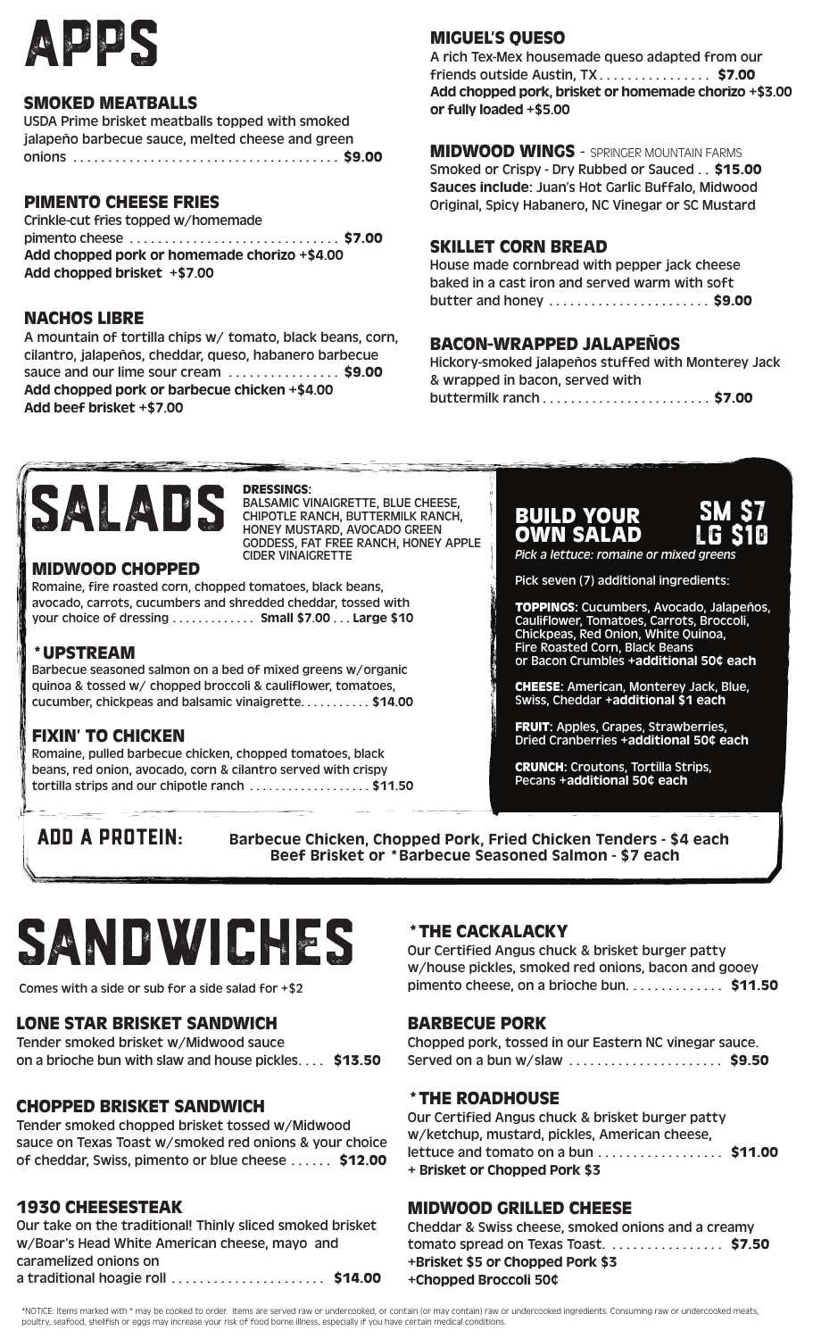

#### SMOKED MEATBALLS

USDA Prime brisket meatballs topped with smoked jalapeño barbecue sauce, melted cheese and green onions . . . . . . . . . . . . . . . . . . . . . . . . . . . . . . . . . . . . . . \$9.00

#### PIMENTO CHEESE FRIES

Crinkle-cut fries topped w/homemade pimento cheese . . . . . . . . . . . . . . . . . . . . . . . . . . . . . . \$7.00 Add chopped pork or homemade chorizo +\$4.00 Add chopped brisket +\$7.00

#### NACHOS LIBRE

A mountain of tortilla chips w/ tomato, black beans, corn, cilantro, jalapeños, cheddar, queso, habanero barbecue sauce and our lime sour cream .................. \$9.00 Add chopped pork or barbecue chicken +\$4.00 Add beef brisket +\$7.00

# MIGUEL'S QUESO

A rich Tex-Mex housemade queso adapted from our friends outside Austin,  $TX$ ................... \$7.00 Add chopped pork, brisket or homemade chorizo +\$3.00 or fully loaded +\$5.00

MIDWOOD WINGS - SPRINGER MOUNTAIN FARMS Smoked or Crispy - Dry Rubbed or Sauced . . \$15.00 Sauces include: Juan's Hot Garlic Buffalo, Midwood Original, Spicy Habanero, NC Vinegar or SC Mustard

#### SKILLET CORN BREAD

House made cornbread with pepper jack cheese baked in a cast iron and served warm with soft butter and honey ......................... \$9.00

#### BACON-WRAPPED JALAPEÑOS

Hickory-smoked jalapeños stuffed with Monterey Jack & wrapped in bacon, served with buttermilk ranch . . . . . . . . . . . . . . . . . . . . . . . . \$7.00



#### DRESSINGS:

BALSAMIC VINAIGRETTE, BLUE CHEESE, CHIPOTLE RANCH, BUTTERMILK RANCH, HONEY MUSTARD, AVOCADO GREEN GODDESS, FAT FREE RANCH, HONEY APPLE CIDER VINAIGRETTE

#### MIDWOOD CHOPPED

Romaine, fire roasted corn, chopped tomatoes, black beans, avocado, carrots, cucumbers and shredded cheddar, tossed with your choice of dressing . . . . . . . . . . . . . Small \$7.00 . . . Large \$10

#### \*UPSTREAM

Barbecue seasoned salmon on a bed of mixed greens w/organic quinoa & tossed w/ chopped broccoli & cauliflower, tomatoes, cucumber, chickpeas and balsamic vinaigrette. . . . . . . . . . \$14.00

# FIXIN' TO CHICKEN

Romaine, pulled barbecue chicken, chopped tomatoes, black beans, red onion, avocado, corn & cilantro served with crispy tortilla strips and our chipotle ranch ...................\$11.50

BUILD YOUR OWN SALAD *Pick a lettuce: romaine or mixed greens*



Pick seven (7) additional ingredients:

TOPPINGS: Cucumbers, Avocado, Jalapeños, Cauliflower, Tomatoes, Carrots, Broccoli, Chickpeas, Red Onion, White Quinoa, Fire Roasted Corn, Black Beans or Bacon Crumbles +additional 50¢ each

CHEESE: American, Monterey Jack, Blue, Swiss, Cheddar +additional \$1 each

FRUIT: Apples, Grapes, Strawberries, Dried Cranberries +additional 50¢ each

CRUNCH: Croutons, Tortilla Strips, Pecans +additional 50¢ each

ADD A PROTEIN: Barbecue Chicken, Chopped Pork, Fried Chicken Tenders - \$4 each Beef Brisket or \*Barbecue Seasoned Salmon - \$7 each

# SAndwiches

Comes with a side or sub for a side salad for +\$2

# LONE STAR BRISKET SANDWICH

Tender smoked brisket w/Midwood sauce on a brioche bun with slaw and house pickles.... \$13.50

# CHOPPED BRISKET SANDWICH

Tender smoked chopped brisket tossed w/Midwood sauce on Texas Toast w/smoked red onions & your choice of cheddar, Swiss, pimento or blue cheese ...... \$12.00

# 1930 CHEESESTEAK

Our take on the traditional! Thinly sliced smoked brisket w/Boar's Head White American cheese, mayo and caramelized onions on a traditional hoagie roll ............................... \$14.00

# \*THE CACKALACKY

Our Certified Angus chuck & brisket burger patty w/house pickles, smoked red onions, bacon and gooey pimento cheese, on a brioche bun.  $\dots \dots \dots$ . \$11.50

#### BARBECUE PORK

Chopped pork, tossed in our Eastern NC vinegar sauce. Served on a bun w/slaw ........................... \$9.50

#### \*THE ROADHOUSE

Our Certified Angus chuck & brisket burger patty w/ketchup, mustard, pickles, American cheese, lettuce and tomato on a bun . . . . . . . . . . . . . . . . \$11.00 + Brisket or Chopped Pork \$3

# MIDWOOD GRILLED CHEESE

Cheddar & Swiss cheese, smoked onions and a creamy tomato spread on Texas Toast. . . . . . . . . . . . . . . . . \$7.50 +Brisket \$5 or Chopped Pork \$3 +Chopped Broccoli 50¢

\*NOTICE: Items marked with \* may be cooked to order. Items are served raw or undercooked, or contain (or may contain) raw or undercooked ingredients. Consuming raw or undercooked meats, poultry, seafood, shellfish or eggs may increase your risk of food borne illness, especially if you have certain medical conditions.